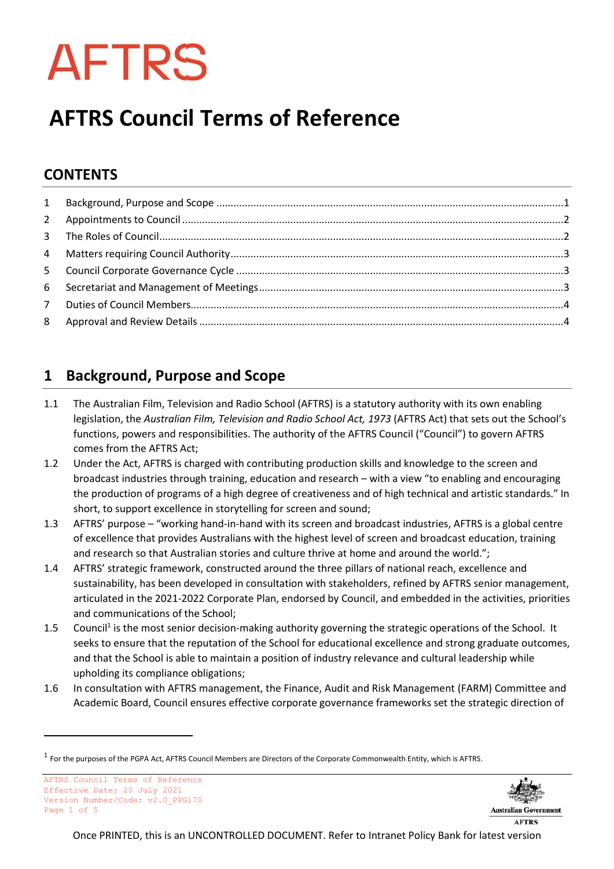# **AFTRS**

# **AFTRS Council Terms of Reference**

## **CONTENTS**

### <span id="page-0-0"></span>**1 Background, Purpose and Scope**

- 1.1 The Australian Film, Television and Radio School (AFTRS) is a statutory authority with its own enabling legislation, the *Australian Film, Television and Radio School Act, 1973* (AFTRS Act) that sets out the School's functions, powers and responsibilities. The authority of the AFTRS Council ("Council") to govern AFTRS comes from the AFTRS Act;
- 1.2 Under the Act, AFTRS is charged with contributing production skills and knowledge to the screen and broadcast industries through training, education and research – with a view "to enabling and encouraging the production of programs of a high degree of creativeness and of high technical and artistic standards." In short, to support excellence in storytelling for screen and sound;
- 1.3 AFTRS' purpose "working hand-in-hand with its screen and broadcast industries, AFTRS is a global centre of excellence that provides Australians with the highest level of screen and broadcast education, training and research so that Australian stories and culture thrive at home and around the world.";
- 1.4 AFTRS' strategic framework, constructed around the three pillars of national reach, excellence and sustainability, has been developed in consultation with stakeholders, refined by AFTRS senior management, articulated in the 2021-2022 Corporate Plan, endorsed by Council, and embedded in the activities, priorities and communications of the School;
- 1.5 Council<sup>1</sup> is the most senior decision-making authority governing the strategic operations of the School. It seeks to ensure that the reputation of the School for educational excellence and strong graduate outcomes, and that the School is able to maintain a position of industry relevance and cultural leadership while upholding its compliance obligations;
- 1.6 In consultation with AFTRS management, the Finance, Audit and Risk Management (FARM) Committee and Academic Board, Council ensures effective corporate governance frameworks set the strategic direction of



 $^1$  For the purposes of the PGPA Act, AFTRS Council Members are Directors of the Corporate Commonwealth Entity, which is AFTRS.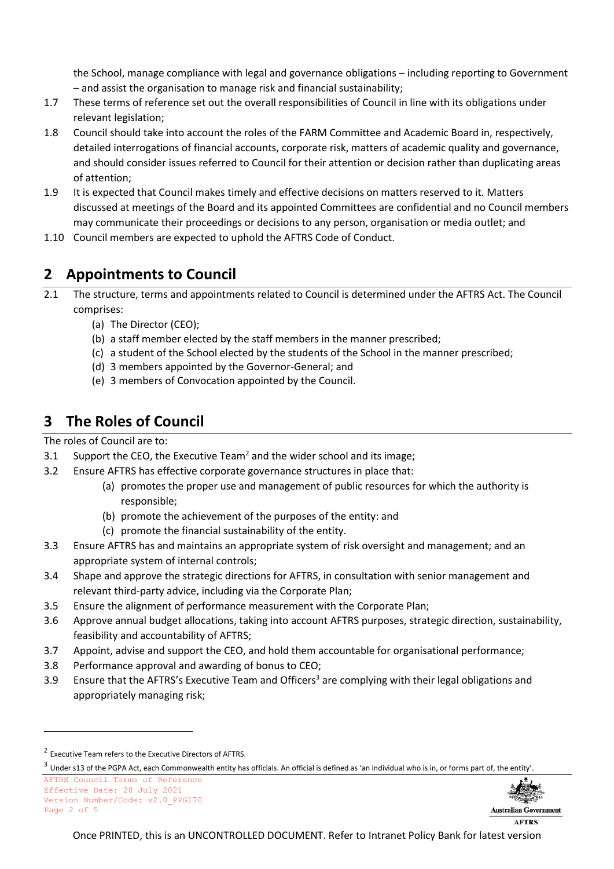the School, manage compliance with legal and governance obligations – including reporting to Government – and assist the organisation to manage risk and financial sustainability;

- 1.7 These terms of reference set out the overall responsibilities of Council in line with its obligations under relevant legislation;
- 1.8 Council should take into account the roles of the FARM Committee and Academic Board in, respectively, detailed interrogations of financial accounts, corporate risk, matters of academic quality and governance, and should consider issues referred to Council for their attention or decision rather than duplicating areas of attention;
- 1.9 It is expected that Council makes timely and effective decisions on matters reserved to it. Matters discussed at meetings of the Board and its appointed Committees are confidential and no Council members may communicate their proceedings or decisions to any person, organisation or media outlet; and
- 1.10 Council members are expected to uphold the AFTRS Code of Conduct.

#### <span id="page-1-0"></span>**2 Appointments to Council**

- 2.1 The structure, terms and appointments related to Council is determined under the AFTRS Act. The Council comprises:
	- (a) The Director (CEO);
	- (b) a staff member elected by the staff members in the manner prescribed;
	- (c) a student of the School elected by the students of the School in the manner prescribed;
	- (d) 3 members appointed by the Governor-General; and
	- (e) 3 members of Convocation appointed by the Council.

#### <span id="page-1-1"></span>**3 The Roles of Council**

The roles of Council are to:

- 3.1 Support the CEO, the Executive Team<sup>2</sup> and the wider school and its image;
- 3.2 Ensure AFTRS has effective corporate governance structures in place that:
	- (a) promotes the proper use and management of public resources for which the authority is responsible;
	- (b) promote the achievement of the purposes of the entity: and
	- (c) promote the financial sustainability of the entity.
- 3.3 Ensure AFTRS has and maintains an appropriate system of risk oversight and management; and an appropriate system of internal controls;
- 3.4 Shape and approve the strategic directions for AFTRS, in consultation with senior management and relevant third-party advice, including via the Corporate Plan;
- 3.5 Ensure the alignment of performance measurement with the Corporate Plan;
- 3.6 Approve annual budget allocations, taking into account AFTRS purposes, strategic direction, sustainability, feasibility and accountability of AFTRS;
- 3.7 Appoint, advise and support the CEO, and hold them accountable for organisational performance;
- 3.8 Performance approval and awarding of bonus to CEO;
- 3.9 Ensure that the AFTRS's Executive Team and Officers<sup>3</sup> are complying with their legal obligations and appropriately managing risk;



**AFTRS** 

<sup>&</sup>lt;sup>2</sup> Executive Team refers to the Executive Directors of AFTRS.

 $^3$  Under s13 of the PGPA Act, each Commonwealth entity has officials. An official is defined as 'an individual who is in, or forms part of, the entity'.

AFTRS Council Terms of Reference Effective Date: 20 July 2021 Version Number/Code: v2.0\_PPG170 Page 2 of 5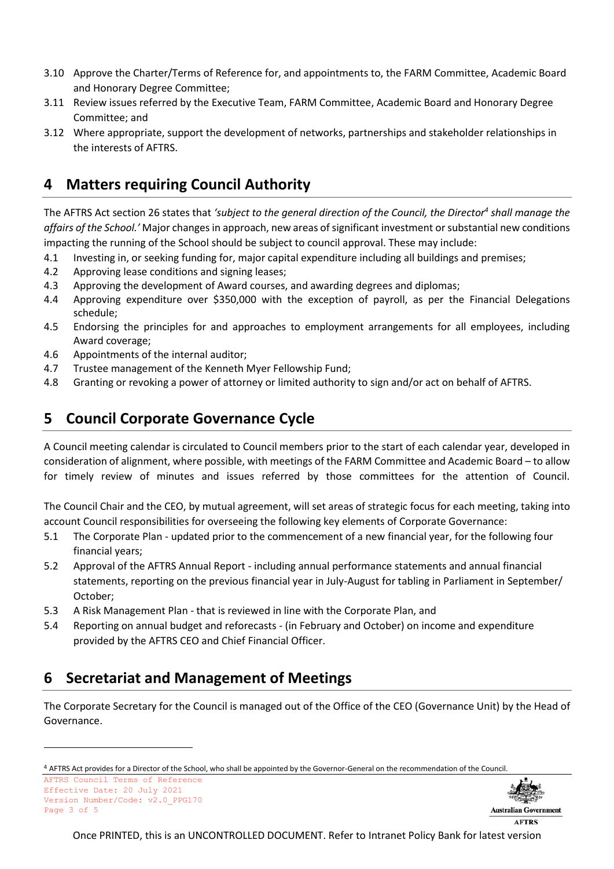- 3.10 Approve the Charter/Terms of Reference for, and appointments to, the FARM Committee, Academic Board and Honorary Degree Committee;
- 3.11 Review issues referred by the Executive Team, FARM Committee, Academic Board and Honorary Degree Committee; and
- 3.12 Where appropriate, support the development of networks, partnerships and stakeholder relationships in the interests of AFTRS.

#### <span id="page-2-0"></span>**4 Matters requiring Council Authority**

The AFTRS Act section 26 states that *'subject to the general direction of the Council, the Director<sup>4</sup> shall manage the affairs of the School.'* Major changes in approach, new areas of significant investment or substantial new conditions impacting the running of the School should be subject to council approval. These may include:

- 4.1 Investing in, or seeking funding for, major capital expenditure including all buildings and premises;
- 4.2 Approving lease conditions and signing leases;
- 4.3 Approving the development of Award courses, and awarding degrees and diplomas;
- 4.4 Approving expenditure over \$350,000 with the exception of payroll, as per the Financial Delegations schedule;
- 4.5 Endorsing the principles for and approaches to employment arrangements for all employees, including Award coverage;
- 4.6 Appointments of the internal auditor;
- 4.7 Trustee management of the Kenneth Myer Fellowship Fund;
- 4.8 Granting or revoking a power of attorney or limited authority to sign and/or act on behalf of AFTRS.

#### <span id="page-2-1"></span>**5 Council Corporate Governance Cycle**

A Council meeting calendar is circulated to Council members prior to the start of each calendar year, developed in consideration of alignment, where possible, with meetings of the FARM Committee and Academic Board – to allow for timely review of minutes and issues referred by those committees for the attention of Council.

The Council Chair and the CEO, by mutual agreement, will set areas of strategic focus for each meeting, taking into account Council responsibilities for overseeing the following key elements of Corporate Governance:

- 5.1 The Corporate Plan updated prior to the commencement of a new financial year, for the following four financial years;
- 5.2 Approval of the AFTRS Annual Report including annual performance statements and annual financial statements, reporting on the previous financial year in July-August for tabling in Parliament in September/ October;
- 5.3 A Risk Management Plan that is reviewed in line with the Corporate Plan, and
- 5.4 Reporting on annual budget and reforecasts (in February and October) on income and expenditure provided by the AFTRS CEO and Chief Financial Officer.

#### <span id="page-2-2"></span>**6 Secretariat and Management of Meetings**

The Corporate Secretary for the Council is managed out of the Office of the CEO (Governance Unit) by the Head of Governance.



**AFTRS** 

<sup>4</sup> AFTRS Act provides for a Director of the School, who shall be appointed by the Governor-General on the recommendation of the Council.

AFTRS Council Terms of Reference Effective Date: 20 July 2021 Version Number/Code: v2.0\_PPG170 Page 3 of 5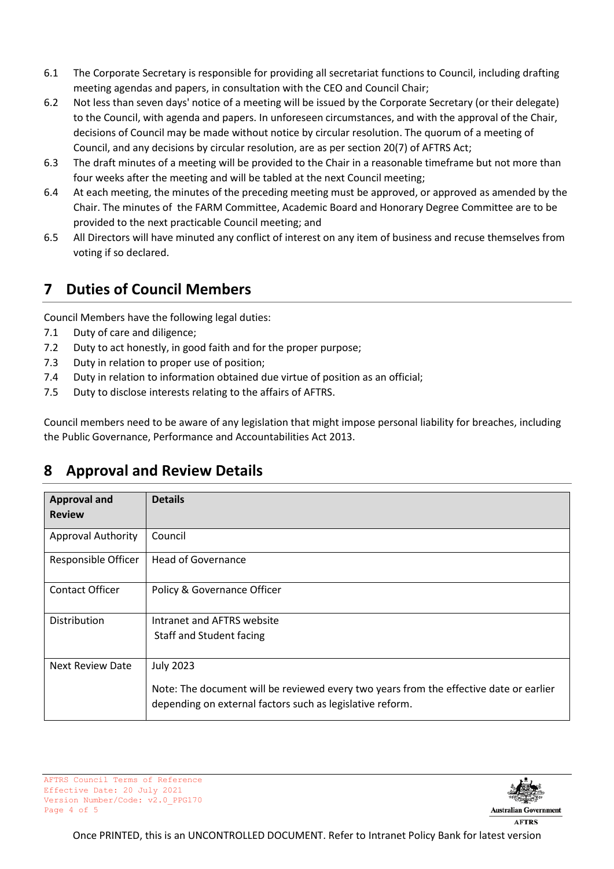- 6.1 The Corporate Secretary is responsible for providing all secretariat functions to Council, including drafting meeting agendas and papers, in consultation with the CEO and Council Chair;
- 6.2 Not less than seven days' notice of a meeting will be issued by the Corporate Secretary (or their delegate) to the Council, with agenda and papers. In unforeseen circumstances, and with the approval of the Chair, decisions of Council may be made without notice by circular resolution. The quorum of a meeting of Council, and any decisions by circular resolution, are as per section 20(7) of AFTRS Act;
- 6.3 The draft minutes of a meeting will be provided to the Chair in a reasonable timeframe but not more than four weeks after the meeting and will be tabled at the next Council meeting;
- 6.4 At each meeting, the minutes of the preceding meeting must be approved, or approved as amended by the Chair. The minutes of the FARM Committee, Academic Board and Honorary Degree Committee are to be provided to the next practicable Council meeting; and
- 6.5 All Directors will have minuted any conflict of interest on any item of business and recuse themselves from voting if so declared.

#### <span id="page-3-0"></span>**7 Duties of Council Members**

Council Members have the following legal duties:

- 7.1 Duty of care and diligence;
- 7.2 Duty to act honestly, in good faith and for the proper purpose;
- 7.3 Duty in relation to proper use of position;
- 7.4 Duty in relation to information obtained due virtue of position as an official;
- 7.5 Duty to disclose interests relating to the affairs of AFTRS.

Council members need to be aware of any legislation that might impose personal liability for breaches, including the Public Governance, Performance and Accountabilities Act 2013.

#### <span id="page-3-1"></span>**8 Approval and Review Details**

| <b>Approval and</b>       | <b>Details</b>                                                                                                                                      |
|---------------------------|-----------------------------------------------------------------------------------------------------------------------------------------------------|
| <b>Review</b>             |                                                                                                                                                     |
| <b>Approval Authority</b> | Council                                                                                                                                             |
| Responsible Officer       | <b>Head of Governance</b>                                                                                                                           |
| <b>Contact Officer</b>    | Policy & Governance Officer                                                                                                                         |
| Distribution              | Intranet and AFTRS website                                                                                                                          |
|                           | Staff and Student facing                                                                                                                            |
| <b>Next Review Date</b>   | <b>July 2023</b>                                                                                                                                    |
|                           | Note: The document will be reviewed every two years from the effective date or earlier<br>depending on external factors such as legislative reform. |